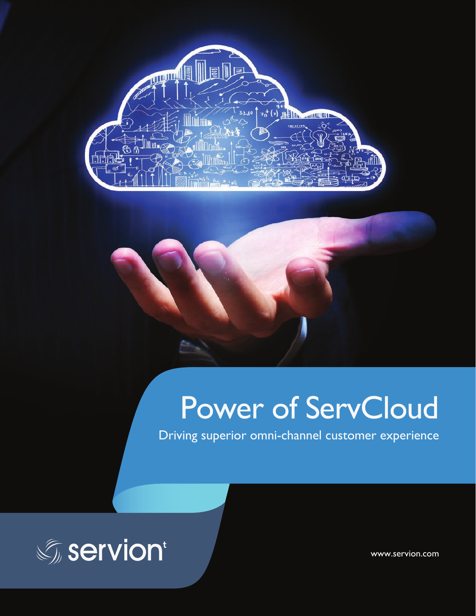



# Power of ServCloud

Driving superior omni-channel customer experience



www.servion.com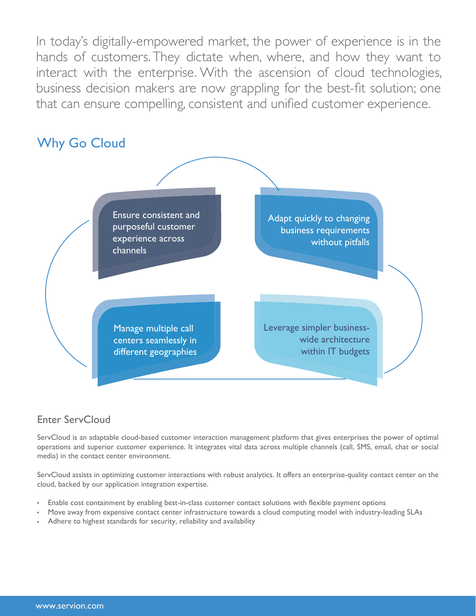In today's digitally-empowered market, the power of experience is in the hands of customers. They dictate when, where, and how they want to interact with the enterprise. With the ascension of cloud technologies, business decision makers are now grappling for the best-fit solution; one that can ensure compelling, consistent and unified customer experience.



### Enter ServCloud

ServCloud is an adaptable cloud-based customer interaction management platform that gives enterprises the power of optimal operations and superior customer experience. It integrates vital data across multiple channels (call, SMS, email, chat or social media) in the contact center environment.

ServCloud assists in optimizing customer interactions with robust analytics. It offers an enterprise-quality contact center on the cloud, backed by our application integration expertise.

- Enable cost containment by enabling best-in-class customer contact solutions with flexible payment options
- Move away from expensive contact center infrastructure towards a cloud computing model with industry-leading SLAs
- Adhere to highest standards for security, reliability and availability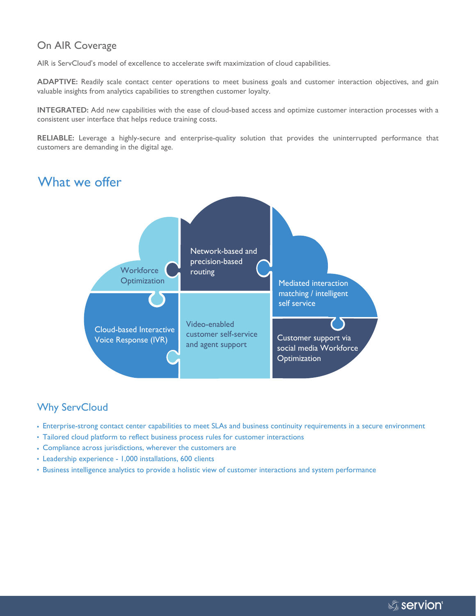#### On AIR Coverage

AIR is ServCloud's model of excellence to accelerate swift maximization of cloud capabilities.

**ADAPTIVE:** Readily scale contact center operations to meet business goals and customer interaction objectives, and gain valuable insights from analytics capabilities to strengthen customer loyalty.

**INTEGRATED:** Add new capabilities with the ease of cloud-based access and optimize customer interaction processes with a consistent user interface that helps reduce training costs.

**RELIABLE:** Leverage a highly-secure and enterprise-quality solution that provides the uninterrupted performance that customers are demanding in the digital age.

### What we offer Cloud-based Interactive Voice Response (IVR) Network-based and precision-based routing Mediated interaction matching / intelligent self service Customer support via social media Workforce **Optimization** Video-enabled customer self-service and agent support **Workforce Optimization**

## Why ServCloud

- Enterprise-strong contact center capabilities to meet SLAs and business continuity requirements in a secure environment
- Tailored cloud platform to reflect business process rules for customer interactions
- Compliance across jurisdictions, wherever the customers are
- Leadership experience 1,000 installations, 600 clients
- Business intelligence analytics to provide a holistic view of customer interactions and system performance